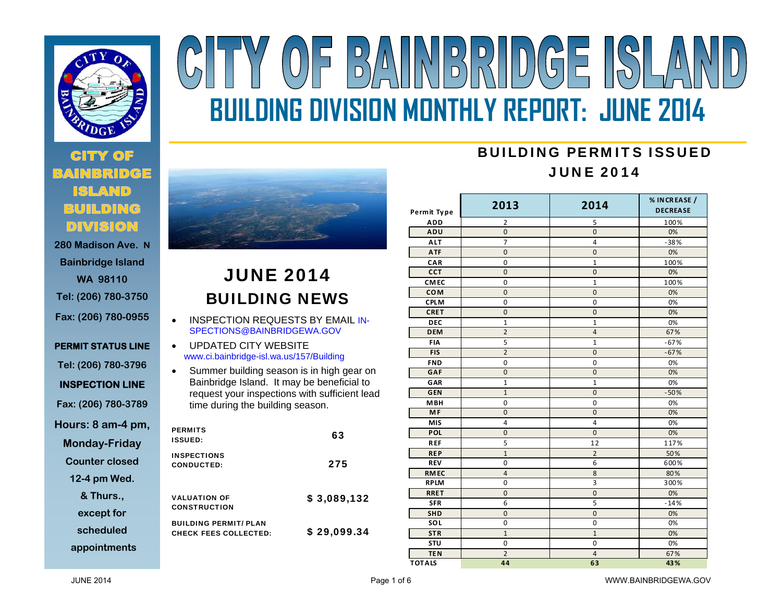

# **280 Madison Ave. N**

**Bainbridge Island WA 98110 Tel: (206) 780-3750 Fax: (206) 780-0955** 

**PERMIT STATUS LINE Tel: (206) 780-3796 INSPECTION LINE Fax: (206) 780-3789 Hours: 8 am-4 pm, Monday-Friday Counter closed** 

# **12-4 pm Wed.**

**& Thurs.,** 

**except for** 

**scheduled** 

**appointments**



# JUNE 2014 BUILDING NEWS

- $\bullet$  INSPECTION REQUESTS BY EMAIL IN-SPECTIONS@BAINBRIDGEWA.GOV
- $\bullet$  UPDATED CITY WEBSITE www.ci.bainbridge-isl.wa.us/157/Building
- $\bullet$  Summer building season is in high gear on Bainbridge Island. It may be beneficial to request your inspections with sufficient lead time during the building season.

| <b>PERMITS</b><br><b>ISSUED:</b>                             | 63          |
|--------------------------------------------------------------|-------------|
| <b>INSPECTIONS</b><br>CONDUCTED:                             | 275         |
| <b>VALUATION OF</b><br><b>CONSTRUCTION</b>                   | \$3,089,132 |
| <b>BUILDING PERMIT/ PLAN</b><br><b>CHECK FEES COLLECTED:</b> | \$29,099.34 |

## BUILDING PERMITS ISSUEDJUNE 2014

| Permit Type   | 2013           | 2014           | % IN CREASE /<br><b>DECREASE</b> |
|---------------|----------------|----------------|----------------------------------|
| <b>ADD</b>    | 2              | 5              | 100%                             |
| ADU           | $\overline{0}$ | $\overline{0}$ | 0%                               |
| <b>ALT</b>    | 7              | 4              | $-38%$                           |
| <b>ATF</b>    | $\overline{0}$ | $\overline{0}$ | 0%                               |
| CAR           | $\mathbf 0$    | $\mathbf{1}$   | 100%                             |
| CCT           | $\mathbf 0$    | $\mathbf 0$    | 0%                               |
| <b>CMEC</b>   | 0              | $\mathbf{1}$   | 100%                             |
| <b>COM</b>    | $\mathbf 0$    | $\mathbf 0$    | 0%                               |
| <b>CPLM</b>   | $\mathbf 0$    | $\mathbf 0$    | 0%                               |
| <b>CRET</b>   | $\overline{0}$ | $\mathbf{0}$   | 0%                               |
| <b>DEC</b>    | $\mathbf{1}$   | $\overline{1}$ | 0%                               |
| <b>DEM</b>    | $\overline{2}$ | $\overline{4}$ | 67%                              |
| FIA           | 5              | $\mathbf{1}$   | $-67%$                           |
| <b>FIS</b>    | $\overline{2}$ | $\overline{0}$ | $-67%$                           |
| <b>FND</b>    | $\mathbf 0$    | $\mathbf 0$    | 0%                               |
| GAF           | $\mathbf 0$    | $\mathbf 0$    | 0%                               |
| GAR           | $\mathbf{1}$   | $\mathbf{1}$   | 0%                               |
| <b>GEN</b>    | $\overline{1}$ | $\overline{0}$ | $-50%$                           |
| <b>MBH</b>    | $\mathbf 0$    | $\mathbf 0$    | 0%                               |
| <b>MF</b>     | $\overline{0}$ | $\mathbf 0$    | 0%                               |
| <b>MIS</b>    | 4              | 4              | 0%                               |
| POL           | $\mathbf 0$    | $\mathbf{0}$   | 0%                               |
| <b>REF</b>    | 5              | 12             | 117%                             |
| <b>REP</b>    | $\overline{1}$ | $\overline{2}$ | 50%                              |
| <b>REV</b>    | 0              | 6              | 600%                             |
| <b>RMEC</b>   | $\overline{4}$ | 8              | 80%                              |
| <b>RPLM</b>   | 0              | 3              | 300%                             |
| <b>RRET</b>   | $\overline{0}$ | $\overline{0}$ | 0%                               |
| <b>SFR</b>    | 6              | 5              | $-14%$                           |
| <b>SHD</b>    | $\mathbf 0$    | $\mathbf 0$    | 0%                               |
| SOL           | $\mathbf 0$    | $\mathbf 0$    | 0%                               |
| <b>STR</b>    | $\mathbf{1}$   | $\mathbf{1}$   | 0%                               |
| STU           | $\mathbf 0$    | $\mathbf 0$    | 0%                               |
| <b>TEN</b>    | $\overline{2}$ | 4              | 67%                              |
| <b>TOTALS</b> | 44             | 63             | 43%                              |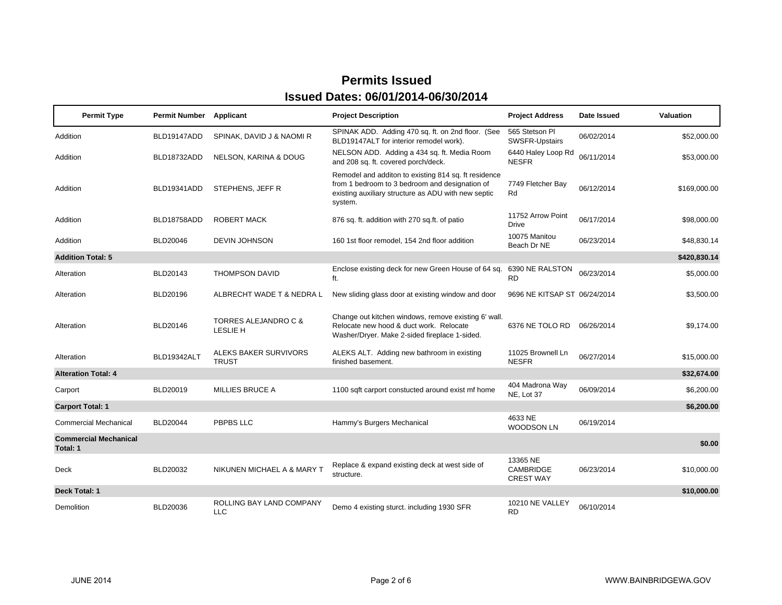| <b>Permit Type</b>                       | Permit Number   | Applicant                              | <b>Project Description</b>                                                                                                                                               | <b>Project Address</b>                           | Date Issued | Valuation    |
|------------------------------------------|-----------------|----------------------------------------|--------------------------------------------------------------------------------------------------------------------------------------------------------------------------|--------------------------------------------------|-------------|--------------|
| Addition                                 | BLD19147ADD     | SPINAK, DAVID J & NAOMI R              | SPINAK ADD. Adding 470 sq. ft. on 2nd floor. (See<br>BLD19147ALT for interior remodel work).                                                                             | 565 Stetson PI<br><b>SWSFR-Upstairs</b>          | 06/02/2014  | \$52,000.00  |
| Addition                                 | BLD18732ADD     | NELSON, KARINA & DOUG                  | NELSON ADD. Adding a 434 sq. ft. Media Room<br>and 208 sq. ft. covered porch/deck.                                                                                       | 6440 Haley Loop Rd<br><b>NESFR</b>               | 06/11/2014  | \$53,000.00  |
| Addition                                 | BLD19341ADD     | STEPHENS, JEFF R                       | Remodel and additon to existing 814 sq. ft residence<br>from 1 bedroom to 3 bedroom and designation of<br>existing auxiliary structure as ADU with new septic<br>system. | 7749 Fletcher Bay<br>Rd                          | 06/12/2014  | \$169,000.00 |
| Addition                                 | BLD18758ADD     | <b>ROBERT MACK</b>                     | 876 sq. ft. addition with 270 sq.ft. of patio                                                                                                                            | 11752 Arrow Point<br>Drive                       | 06/17/2014  | \$98,000.00  |
| Addition                                 | <b>BLD20046</b> | <b>DEVIN JOHNSON</b>                   | 160 1st floor remodel, 154 2nd floor addition                                                                                                                            | 10075 Manitou<br>Beach Dr NE                     | 06/23/2014  | \$48,830.14  |
| <b>Addition Total: 5</b>                 |                 |                                        |                                                                                                                                                                          |                                                  |             | \$420,830.14 |
| Alteration                               | BLD20143        | <b>THOMPSON DAVID</b>                  | Enclose existing deck for new Green House of 64 sq.<br>ft.                                                                                                               | 6390 NE RALSTON<br><b>RD</b>                     | 06/23/2014  | \$5,000.00   |
| Alteration                               | <b>BLD20196</b> | ALBRECHT WADE T & NEDRA L              | New sliding glass door at existing window and door                                                                                                                       | 9696 NE KITSAP ST 06/24/2014                     |             | \$3,500.00   |
| Alteration                               | BLD20146        | TORRES ALEJANDRO C &<br>LESLIE H       | Change out kitchen windows, remove existing 6' wall.<br>Relocate new hood & duct work. Relocate<br>Washer/Dryer. Make 2-sided fireplace 1-sided.                         | 6376 NE TOLO RD                                  | 06/26/2014  | \$9,174.00   |
| Alteration                               | BLD19342ALT     | ALEKS BAKER SURVIVORS<br><b>TRUST</b>  | ALEKS ALT. Adding new bathroom in existing<br>finished basement.                                                                                                         | 11025 Brownell Ln<br><b>NESFR</b>                | 06/27/2014  | \$15,000.00  |
| <b>Alteration Total: 4</b>               |                 |                                        |                                                                                                                                                                          |                                                  |             | \$32,674.00  |
| Carport                                  | BLD20019        | <b>MILLIES BRUCE A</b>                 | 1100 sqft carport constucted around exist mf home                                                                                                                        | 404 Madrona Way<br>NE, Lot 37                    | 06/09/2014  | \$6,200.00   |
| <b>Carport Total: 1</b>                  |                 |                                        |                                                                                                                                                                          |                                                  |             | \$6,200.00   |
| <b>Commercial Mechanical</b>             | <b>BLD20044</b> | PBPBS LLC                              | Hammy's Burgers Mechanical                                                                                                                                               | 4633 NE<br><b>WOODSON LN</b>                     | 06/19/2014  |              |
| <b>Commercial Mechanical</b><br>Total: 1 |                 |                                        |                                                                                                                                                                          |                                                  |             | \$0.00       |
| Deck                                     | <b>BLD20032</b> | NIKUNEN MICHAEL A & MARY T             | Replace & expand existing deck at west side of<br>structure.                                                                                                             | 13365 NE<br><b>CAMBRIDGE</b><br><b>CREST WAY</b> | 06/23/2014  | \$10,000.00  |
| Deck Total: 1                            |                 |                                        |                                                                                                                                                                          |                                                  |             | \$10,000.00  |
| Demolition                               | BLD20036        | ROLLING BAY LAND COMPANY<br><b>LLC</b> | Demo 4 existing sturct. including 1930 SFR                                                                                                                               | 10210 NE VALLEY<br>RD.                           | 06/10/2014  |              |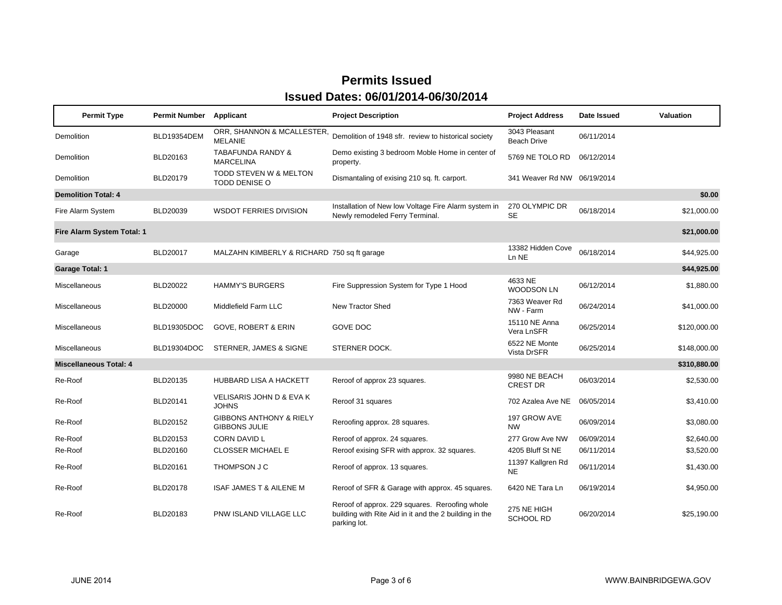| <b>Permit Type</b>            | Permit Number      | Applicant                                                  | <b>Project Description</b>                                                                                               | <b>Project Address</b>           | Date Issued | Valuation    |
|-------------------------------|--------------------|------------------------------------------------------------|--------------------------------------------------------------------------------------------------------------------------|----------------------------------|-------------|--------------|
| Demolition                    | <b>BLD19354DEM</b> | ORR, SHANNON & MCALLESTER,<br><b>MELANIE</b>               | Demolition of 1948 sfr. review to historical society                                                                     | 3043 Pleasant<br>Beach Drive     | 06/11/2014  |              |
| Demolition                    | BLD20163           | <b>TABAFUNDA RANDY &amp;</b><br><b>MARCELINA</b>           | Demo existing 3 bedroom Moble Home in center of<br>property.                                                             | 5769 NE TOLO RD                  | 06/12/2014  |              |
| Demolition                    | BLD20179           | TODD STEVEN W & MELTON<br><b>TODD DENISE O</b>             | Dismantaling of exising 210 sq. ft. carport.                                                                             | 341 Weaver Rd NW 06/19/2014      |             |              |
| <b>Demolition Total: 4</b>    |                    |                                                            |                                                                                                                          |                                  |             | \$0.00       |
| Fire Alarm System             | BLD20039           | <b>WSDOT FERRIES DIVISION</b>                              | Installation of New Iow Voltage Fire Alarm system in<br>Newly remodeled Ferry Terminal.                                  | 270 OLYMPIC DR<br><b>SE</b>      | 06/18/2014  | \$21,000.00  |
| Fire Alarm System Total: 1    |                    |                                                            |                                                                                                                          |                                  |             | \$21,000.00  |
| Garage                        | <b>BLD20017</b>    | MALZAHN KIMBERLY & RICHARD 750 sq ft garage                |                                                                                                                          | 13382 Hidden Cove<br>Ln NE       | 06/18/2014  | \$44,925.00  |
| <b>Garage Total: 1</b>        |                    |                                                            |                                                                                                                          |                                  |             | \$44,925.00  |
| Miscellaneous                 | BLD20022           | <b>HAMMY'S BURGERS</b>                                     | Fire Suppression System for Type 1 Hood                                                                                  | 4633 NE<br><b>WOODSON LN</b>     | 06/12/2014  | \$1,880.00   |
| Miscellaneous                 | <b>BLD20000</b>    | Middlefield Farm LLC                                       | New Tractor Shed                                                                                                         | 7363 Weaver Rd<br>NW - Farm      | 06/24/2014  | \$41,000.00  |
| Miscellaneous                 | BLD19305DOC        | <b>GOVE, ROBERT &amp; ERIN</b>                             | <b>GOVE DOC</b>                                                                                                          | 15110 NE Anna<br>Vera LnSFR      | 06/25/2014  | \$120,000.00 |
| Miscellaneous                 | BLD19304DOC        | STERNER, JAMES & SIGNE                                     | STERNER DOCK.                                                                                                            | 6522 NE Monte<br>Vista DrSFR     | 06/25/2014  | \$148,000.00 |
| <b>Miscellaneous Total: 4</b> |                    |                                                            |                                                                                                                          |                                  |             | \$310,880.00 |
| Re-Roof                       | BLD20135           | HUBBARD LISA A HACKETT                                     | Reroof of approx 23 squares.                                                                                             | 9980 NE BEACH<br><b>CREST DR</b> | 06/03/2014  | \$2,530.00   |
| Re-Roof                       | BLD20141           | VELISARIS JOHN D & EVA K<br><b>JOHNS</b>                   | Reroof 31 squares                                                                                                        | 702 Azalea Ave NE                | 06/05/2014  | \$3,410.00   |
| Re-Roof                       | BLD20152           | <b>GIBBONS ANTHONY &amp; RIELY</b><br><b>GIBBONS JULIE</b> | Reroofing approx. 28 squares.                                                                                            | 197 GROW AVE<br><b>NW</b>        | 06/09/2014  | \$3,080.00   |
| Re-Roof                       | BLD20153           | <b>CORN DAVID L</b>                                        | Reroof of approx. 24 squares.                                                                                            | 277 Grow Ave NW                  | 06/09/2014  | \$2,640.00   |
| Re-Roof                       | BLD20160           | <b>CLOSSER MICHAEL E</b>                                   | Reroof exising SFR with approx. 32 squares.                                                                              | 4205 Bluff St NE                 | 06/11/2014  | \$3,520.00   |
| Re-Roof                       | BLD20161           | THOMPSON J C                                               | Reroof of approx. 13 squares.                                                                                            | 11397 Kallgren Rd<br>NE.         | 06/11/2014  | \$1,430.00   |
| Re-Roof                       | BLD20178           | ISAF JAMES T & AILENE M                                    | Reroof of SFR & Garage with approx. 45 squares.                                                                          | 6420 NE Tara Ln                  | 06/19/2014  | \$4,950.00   |
| Re-Roof                       | BLD20183           | PNW ISLAND VILLAGE LLC                                     | Reroof of approx. 229 squares. Reroofing whole<br>building with Rite Aid in it and the 2 building in the<br>parking lot. | 275 NE HIGH<br><b>SCHOOL RD</b>  | 06/20/2014  | \$25,190.00  |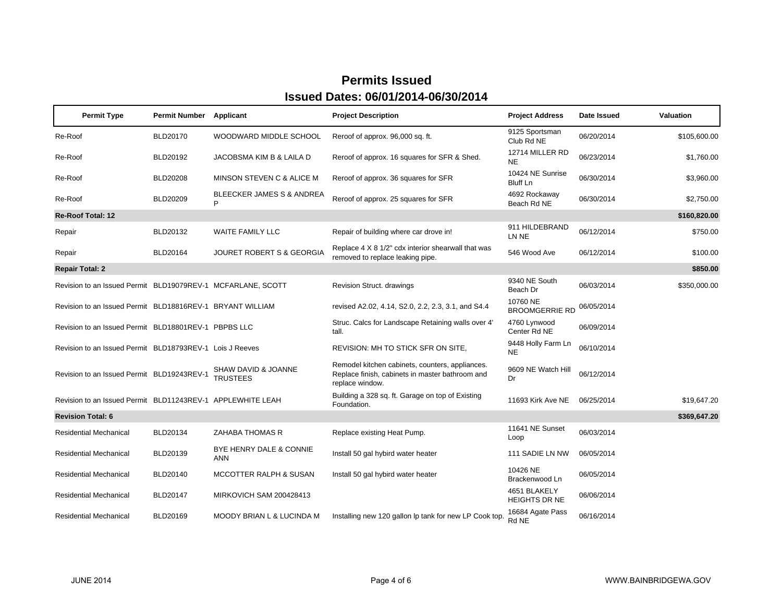| <b>Permit Type</b>                                          | Permit Number   | Applicant                                 | <b>Project Description</b>                                                                                            | <b>Project Address</b>               | Date Issued | Valuation    |
|-------------------------------------------------------------|-----------------|-------------------------------------------|-----------------------------------------------------------------------------------------------------------------------|--------------------------------------|-------------|--------------|
| Re-Roof                                                     | BLD20170        | WOODWARD MIDDLE SCHOOL                    | Reroof of approx. 96,000 sq. ft.                                                                                      | 9125 Sportsman<br>Club Rd NE         | 06/20/2014  | \$105,600.00 |
| Re-Roof                                                     | BLD20192        | JACOBSMA KIM B & LAILA D                  | Reroof of approx. 16 squares for SFR & Shed.                                                                          | 12714 MILLER RD<br><b>NE</b>         | 06/23/2014  | \$1,760.00   |
| Re-Roof                                                     | <b>BLD20208</b> | MINSON STEVEN C & ALICE M                 | Reroof of approx. 36 squares for SFR                                                                                  | 10424 NE Sunrise<br>Bluff Ln         | 06/30/2014  | \$3,960.00   |
| Re-Roof                                                     | <b>BLD20209</b> | <b>BLEECKER JAMES S &amp; ANDREA</b><br>P | Reroof of approx. 25 squares for SFR                                                                                  | 4692 Rockaway<br>Beach Rd NE         | 06/30/2014  | \$2,750.00   |
| <b>Re-Roof Total: 12</b>                                    |                 |                                           |                                                                                                                       |                                      |             | \$160,820.00 |
| Repair                                                      | BLD20132        | <b>WAITE FAMILY LLC</b>                   | Repair of building where car drove in!                                                                                | 911 HILDEBRAND<br>LN NE              | 06/12/2014  | \$750.00     |
| Repair                                                      | BLD20164        | JOURET ROBERT S & GEORGIA                 | Replace 4 X 8 1/2" cdx interior shearwall that was<br>removed to replace leaking pipe.                                | 546 Wood Ave                         | 06/12/2014  | \$100.00     |
| <b>Repair Total: 2</b>                                      |                 |                                           |                                                                                                                       |                                      |             | \$850.00     |
| Revision to an Issued Permit BLD19079REV-1 MCFARLANE, SCOTT |                 |                                           | Revision Struct. drawings                                                                                             | 9340 NE South<br>Beach Dr            | 06/03/2014  | \$350,000.00 |
| Revision to an Issued Permit BLD18816REV-1 BRYANT WILLIAM   |                 |                                           | revised A2.02, 4.14, S2.0, 2.2, 2.3, 3.1, and S4.4                                                                    | 10760 NE<br><b>BROOMGERRIE RD</b>    | 06/05/2014  |              |
| Revision to an Issued Permit BLD18801REV-1 PBPBS LLC        |                 |                                           | Struc. Calcs for Landscape Retaining walls over 4'<br>tall.                                                           | 4760 Lynwood<br>Center Rd NE         | 06/09/2014  |              |
| Revision to an Issued Permit BLD18793REV-1 Lois J Reeves    |                 |                                           | REVISION: MH TO STICK SFR ON SITE,                                                                                    | 9448 Holly Farm Ln<br><b>NE</b>      | 06/10/2014  |              |
| Revision to an Issued Permit BLD19243REV-1                  |                 | SHAW DAVID & JOANNE<br><b>TRUSTEES</b>    | Remodel kitchen cabinets, counters, appliances.<br>Replace finish, cabinets in master bathroom and<br>replace window. | 9609 NE Watch Hill<br>Dr             | 06/12/2014  |              |
| Revision to an Issued Permit BLD11243REV-1 APPLEWHITE LEAH  |                 |                                           | Building a 328 sq. ft. Garage on top of Existing<br>Foundation.                                                       | 11693 Kirk Ave NE                    | 06/25/2014  | \$19,647.20  |
| <b>Revision Total: 6</b>                                    |                 |                                           |                                                                                                                       |                                      |             | \$369,647.20 |
| <b>Residential Mechanical</b>                               | BLD20134        | ZAHABA THOMAS R                           | Replace existing Heat Pump.                                                                                           | 11641 NE Sunset<br>Loop              | 06/03/2014  |              |
| <b>Residential Mechanical</b>                               | BLD20139        | BYE HENRY DALE & CONNIE<br><b>ANN</b>     | Install 50 gal hybird water heater                                                                                    | 111 SADIE LN NW                      | 06/05/2014  |              |
| <b>Residential Mechanical</b>                               | BLD20140        | <b>MCCOTTER RALPH &amp; SUSAN</b>         | Install 50 gal hybird water heater                                                                                    | 10426 NE<br>Brackenwood Ln           | 06/05/2014  |              |
| <b>Residential Mechanical</b>                               | BLD20147        | <b>MIRKOVICH SAM 200428413</b>            |                                                                                                                       | 4651 BLAKELY<br><b>HEIGHTS DR NE</b> | 06/06/2014  |              |
| <b>Residential Mechanical</b>                               | BLD20169        | <b>MOODY BRIAN L &amp; LUCINDA M</b>      | Installing new 120 gallon Ip tank for new LP Cook top.                                                                | 16684 Agate Pass<br>Rd NE            | 06/16/2014  |              |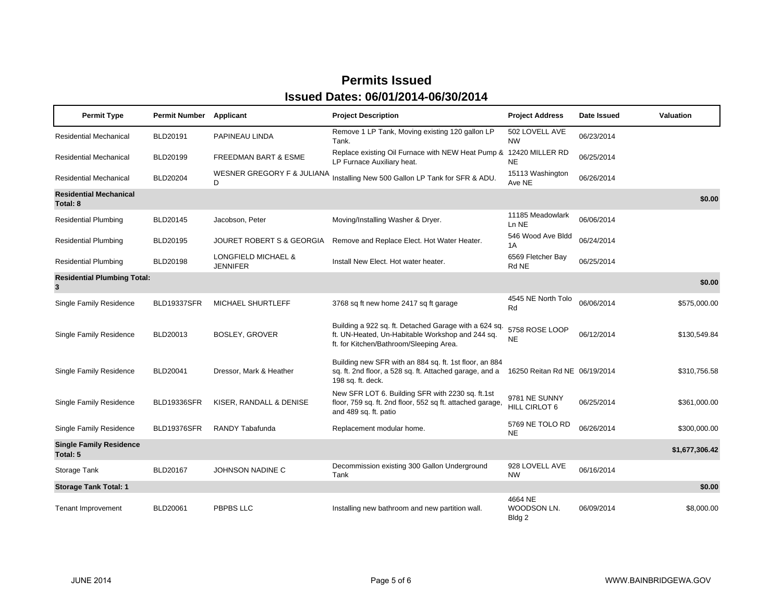| <b>Permit Type</b>                         | <b>Permit Number</b> | Applicant                              | <b>Project Description</b>                                                                                                                           | <b>Project Address</b>           | Date Issued | <b>Valuation</b> |
|--------------------------------------------|----------------------|----------------------------------------|------------------------------------------------------------------------------------------------------------------------------------------------------|----------------------------------|-------------|------------------|
| <b>Residential Mechanical</b>              | <b>BLD20191</b>      | PAPINEAU LINDA                         | Remove 1 LP Tank, Moving existing 120 gallon LP<br>Tank.                                                                                             | 502 LOVELL AVE<br><b>NW</b>      | 06/23/2014  |                  |
| <b>Residential Mechanical</b>              | BLD20199             | <b>FREEDMAN BART &amp; ESME</b>        | Replace existing Oil Furnace with NEW Heat Pump & 12420 MILLER RD<br>LP Furnace Auxiliary heat.                                                      | <b>NE</b>                        | 06/25/2014  |                  |
| <b>Residential Mechanical</b>              | <b>BLD20204</b>      | WESNER GREGORY F & JULIANA<br>D        | Installing New 500 Gallon LP Tank for SFR & ADU.                                                                                                     | 15113 Washington<br>Ave NE       | 06/26/2014  |                  |
| <b>Residential Mechanical</b><br>Total: 8  |                      |                                        |                                                                                                                                                      |                                  |             | \$0.00           |
| <b>Residential Plumbing</b>                | BLD20145             | Jacobson, Peter                        | Moving/Installing Washer & Dryer.                                                                                                                    | 11185 Meadowlark<br>Ln NE        | 06/06/2014  |                  |
| <b>Residential Plumbing</b>                | BLD20195             | JOURET ROBERT S & GEORGIA              | Remove and Replace Elect. Hot Water Heater.                                                                                                          | 546 Wood Ave Bldd<br>1A          | 06/24/2014  |                  |
| <b>Residential Plumbing</b>                | <b>BLD20198</b>      | LONGFIELD MICHAEL &<br><b>JENNIFER</b> | Install New Elect. Hot water heater.                                                                                                                 | 6569 Fletcher Bay<br>Rd NE       | 06/25/2014  |                  |
| <b>Residential Plumbing Total:</b><br>3    |                      |                                        |                                                                                                                                                      |                                  |             | \$0.00           |
| Single Family Residence                    | <b>BLD19337SFR</b>   | MICHAEL SHURTLEFF                      | 3768 sq ft new home 2417 sq ft garage                                                                                                                | 4545 NE North Tolo<br>Rd         | 06/06/2014  | \$575,000.00     |
| Single Family Residence                    | BLD20013             | BOSLEY, GROVER                         | Building a 922 sq. ft. Detached Garage with a 624 sq.<br>ft. UN-Heated, Un-Habitable Workshop and 244 sq.<br>ft. for Kitchen/Bathroom/Sleeping Area. | 5758 ROSE LOOP<br><b>NE</b>      | 06/12/2014  | \$130,549.84     |
| <b>Single Family Residence</b>             | BLD20041             | Dressor, Mark & Heather                | Building new SFR with an 884 sq. ft. 1st floor, an 884<br>sq. ft. 2nd floor, a 528 sq. ft. Attached garage, and a<br>198 sq. ft. deck.               | 16250 Reitan Rd NE 06/19/2014    |             | \$310,756.58     |
| Single Family Residence                    | <b>BLD19336SFR</b>   | KISER, RANDALL & DENISE                | New SFR LOT 6. Building SFR with 2230 sq. ft.1st<br>floor, 759 sq. ft. 2nd floor, 552 sq ft. attached garage,<br>and 489 sq. ft. patio               | 9781 NE SUNNY<br>HILL CIRLOT 6   | 06/25/2014  | \$361,000.00     |
| <b>Single Family Residence</b>             | <b>BLD19376SFR</b>   | <b>RANDY Tabafunda</b>                 | Replacement modular home.                                                                                                                            | 5769 NE TOLO RD<br><b>NE</b>     | 06/26/2014  | \$300,000.00     |
| <b>Single Family Residence</b><br>Total: 5 |                      |                                        |                                                                                                                                                      |                                  |             | \$1,677,306.42   |
| Storage Tank                               | BLD20167             | JOHNSON NADINE C                       | Decommission existing 300 Gallon Underground<br>Tank                                                                                                 | 928 LOVELL AVE<br><b>NW</b>      | 06/16/2014  |                  |
| <b>Storage Tank Total: 1</b>               |                      |                                        |                                                                                                                                                      |                                  |             | \$0.00           |
| <b>Tenant Improvement</b>                  | <b>BLD20061</b>      | <b>PBPBS LLC</b>                       | Installing new bathroom and new partition wall.                                                                                                      | 4664 NE<br>WOODSON LN.<br>Bldg 2 | 06/09/2014  | \$8,000.00       |